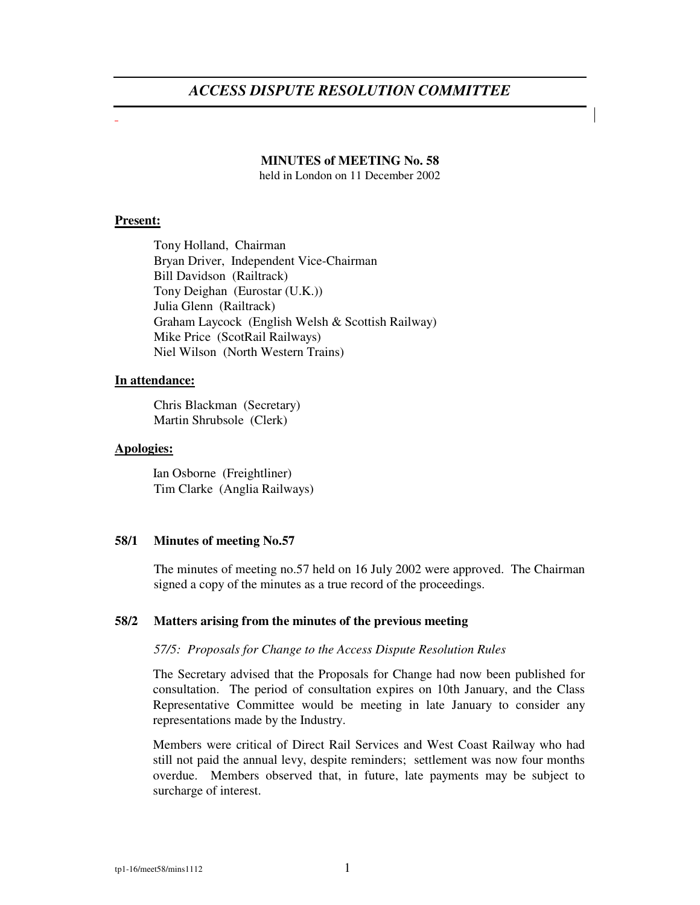# *ACCESS DISPUTE RESOLUTION COMMITTEE*

#### **MINUTES of MEETING No. 58**

held in London on 11 December 2002

## **Present:**

Tony Holland, Chairman Bryan Driver, Independent Vice-Chairman Bill Davidson (Railtrack) Tony Deighan (Eurostar (U.K.)) Julia Glenn (Railtrack) Graham Laycock (English Welsh & Scottish Railway) Mike Price (ScotRail Railways) Niel Wilson (North Western Trains)

# **In attendance:**

Chris Blackman (Secretary) Martin Shrubsole (Clerk)

#### **Apologies:**

Ian Osborne (Freightliner) Tim Clarke (Anglia Railways)

# **58/1 Minutes of meeting No.57**

The minutes of meeting no.57 held on 16 July 2002 were approved. The Chairman signed a copy of the minutes as a true record of the proceedings.

# **58/2 Matters arising from the minutes of the previous meeting**

#### *57/5: Proposals for Change to the Access Dispute Resolution Rules*

The Secretary advised that the Proposals for Change had now been published for consultation. The period of consultation expires on 10th January, and the Class Representative Committee would be meeting in late January to consider any representations made by the Industry.

Members were critical of Direct Rail Services and West Coast Railway who had still not paid the annual levy, despite reminders; settlement was now four months overdue. Members observed that, in future, late payments may be subject to surcharge of interest.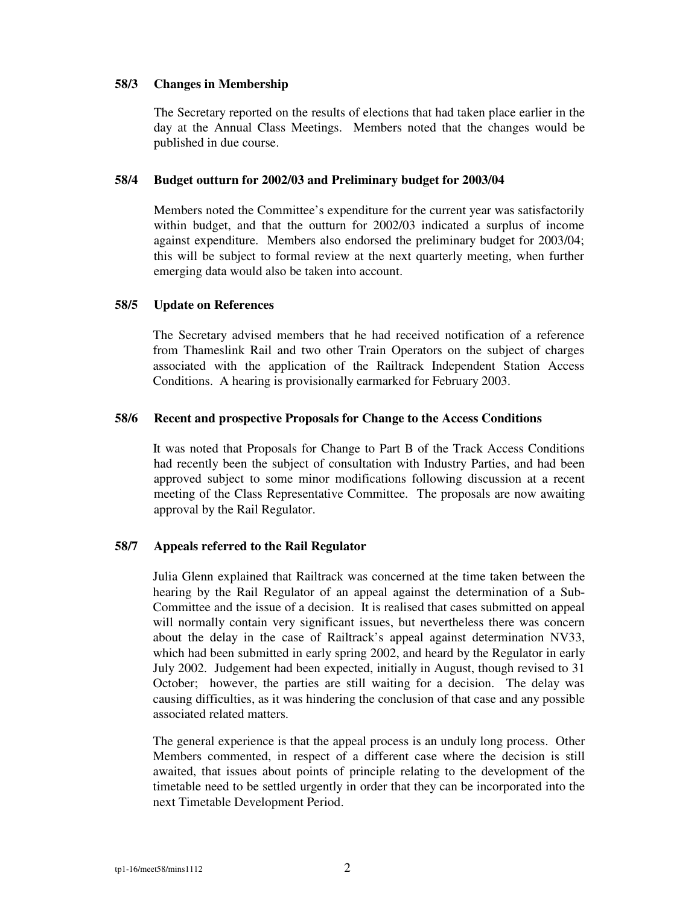## **58/3 Changes in Membership**

The Secretary reported on the results of elections that had taken place earlier in the day at the Annual Class Meetings. Members noted that the changes would be published in due course.

## **58/4 Budget outturn for 2002/03 and Preliminary budget for 2003/04**

Members noted the Committee's expenditure for the current year was satisfactorily within budget, and that the outturn for 2002/03 indicated a surplus of income against expenditure. Members also endorsed the preliminary budget for 2003/04; this will be subject to formal review at the next quarterly meeting, when further emerging data would also be taken into account.

## **58/5 Update on References**

The Secretary advised members that he had received notification of a reference from Thameslink Rail and two other Train Operators on the subject of charges associated with the application of the Railtrack Independent Station Access Conditions. A hearing is provisionally earmarked for February 2003.

## **58/6 Recent and prospective Proposals for Change to the Access Conditions**

It was noted that Proposals for Change to Part B of the Track Access Conditions had recently been the subject of consultation with Industry Parties, and had been approved subject to some minor modifications following discussion at a recent meeting of the Class Representative Committee. The proposals are now awaiting approval by the Rail Regulator.

# **58/7 Appeals referred to the Rail Regulator**

Julia Glenn explained that Railtrack was concerned at the time taken between the hearing by the Rail Regulator of an appeal against the determination of a Sub-Committee and the issue of a decision. It is realised that cases submitted on appeal will normally contain very significant issues, but nevertheless there was concern about the delay in the case of Railtrack's appeal against determination NV33, which had been submitted in early spring 2002, and heard by the Regulator in early July 2002. Judgement had been expected, initially in August, though revised to 31 October; however, the parties are still waiting for a decision. The delay was causing difficulties, as it was hindering the conclusion of that case and any possible associated related matters.

The general experience is that the appeal process is an unduly long process. Other Members commented, in respect of a different case where the decision is still awaited, that issues about points of principle relating to the development of the timetable need to be settled urgently in order that they can be incorporated into the next Timetable Development Period.